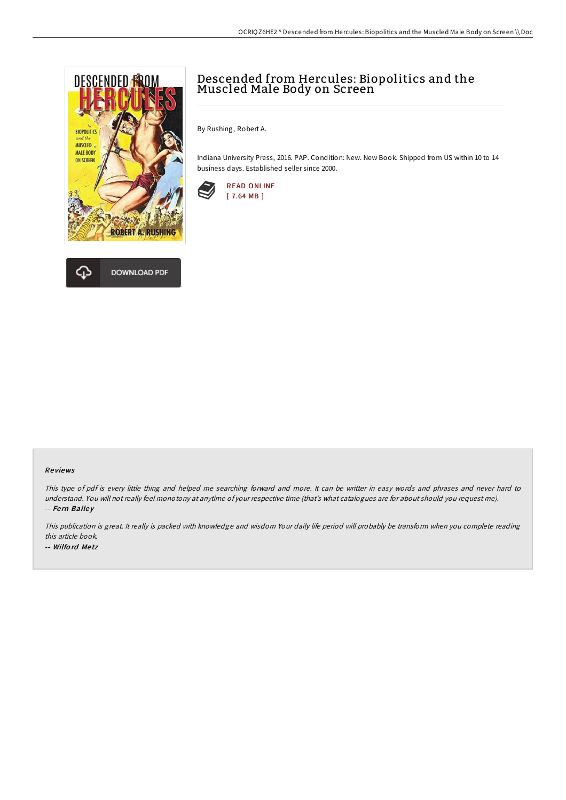



# Descended from Hercules: Biopolitics and the Muscled Male Body on Screen

By Rushing, Robert A.

Indiana University Press, 2016. PAP. Condition: New. New Book. Shipped from US within 10 to 14 business days. Established seller since 2000.



#### Re views

This type of pdf is every little thing and helped me searching forward and more. It can be writter in easy words and phrases and never hard to understand. You will not really feel monotony at anytime of your respective time (that's what catalogues are for about should you request me). -- Fern Bailey

This publication is great. It really is packed with knowledge and wisdom Your daily life period will probably be transform when you complete reading this article book. -- Wilfo rd Me tz